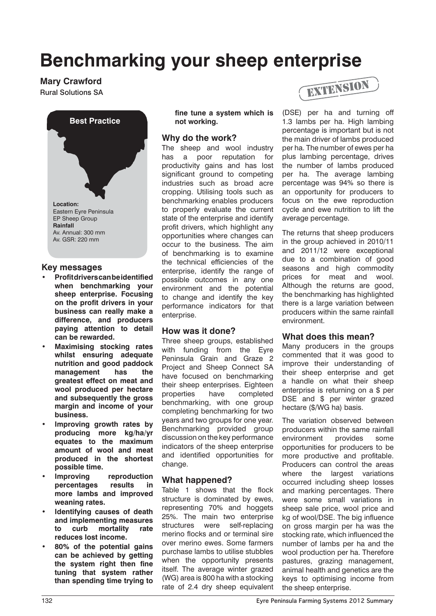# **Benchmarking your sheep enterprise**

**Mary Crawford**



#### **Key messages**

- **• Profit drivers can be identified when benchmarking your sheep enterprise. Focusing on the profit drivers in your business can really make a difference, and producers paying attention to detail can be rewarded.**
- **Maximising stocking rates whilst ensuring adequate nutrition and good paddock management has the greatest effect on meat and wool produced per hectare and subsequently the gross margin and income of your business.**
- **Improving growth rates by producing more kg/ha/yr equates to the maximum amount of wool and meat produced in the shortest possible time.**
- **Improving** reproduction **percentages results in more lambs and improved weaning rates.**
- **Identifying causes of death and implementing measures to curb mortality rate reduces lost income.**
- **• 80% of the potential gains can be achieved by getting the system right then fine tuning that system rather than spending time trying to**

**fine tune a system which is not working.**

## **Why do the work?**

The sheep and wool industry has a poor reputation for productivity gains and has lost significant ground to competing industries such as broad acre cropping. Utilising tools such as benchmarking enables producers to properly evaluate the current state of the enterprise and identify profit drivers, which highlight any opportunities where changes can occur to the business. The aim of benchmarking is to examine the technical efficiencies of the enterprise, identify the range of possible outcomes in any one environment and the potential to change and identify the key performance indicators for that enterprise.

#### **How was it done?**

Three sheep groups, established with funding from the Eyre Peninsula Grain and Graze 2 Project and Sheep Connect SA have focused on benchmarking their sheep enterprises. Eighteen properties have completed benchmarking, with one group completing benchmarking for two years and two groups for one year. Benchmarking provided group discussion on the key performance indicators of the sheep enterprise and identified opportunities for change.

## **What happened?**

Table 1 shows that the flock structure is dominated by ewes, representing 70% and hoggets 25%. The main two enterprise structures were self-replacing merino flocks and or terminal sire over merino ewes. Some farmers purchase lambs to utilise stubbles when the opportunity presents itself. The average winter grazed (WG) area is 800 ha with a stocking rate of 2.4 dry sheep equivalent



(DSE) per ha and turning off 1.3 lambs per ha. High lambing percentage is important but is not the main driver of lambs produced per ha. The number of ewes per ha plus lambing percentage, drives the number of lambs produced per ha. The average lambing percentage was 94% so there is an opportunity for producers to focus on the ewe reproduction cycle and ewe nutrition to lift the average percentage.

The returns that sheep producers in the group achieved in 2010/11 and 2011/12 were exceptional due to a combination of good seasons and high commodity prices for meat and wool. Although the returns are good. the benchmarking has highlighted there is a large variation between producers within the same rainfall environment.

## **What does this mean?**

Many producers in the groups commented that it was good to improve their understanding of their sheep enterprise and get a handle on what their sheep enterprise is returning on a \$ per DSE and \$ per winter grazed hectare (\$/WG ha) basis.

The variation observed between producers within the same rainfall environment provides some opportunities for producers to be more productive and profitable. Producers can control the areas where the largest variations occurred including sheep losses and marking percentages. There were some small variations in sheep sale price, wool price and kg of wool/DSE. The big influence on gross margin per ha was the stocking rate, which influenced the number of lambs per ha and the wool production per ha. Therefore pastures, grazing management, animal health and genetics are the keys to optimising income from the sheep enterprise.